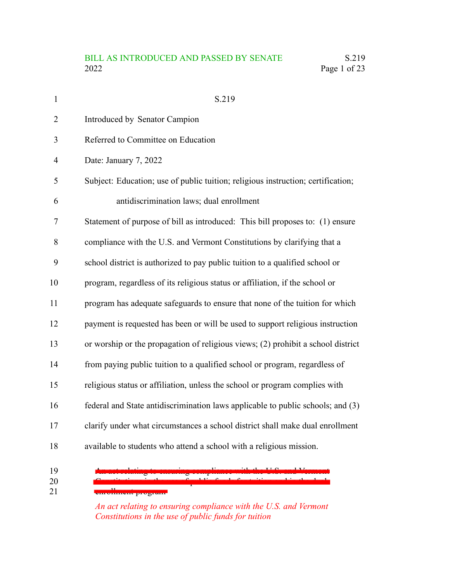| $\mathbf{1}$   | S.219                                                                            |
|----------------|----------------------------------------------------------------------------------|
| $\overline{2}$ | Introduced by Senator Campion                                                    |
| 3              | Referred to Committee on Education                                               |
| $\overline{4}$ | Date: January 7, 2022                                                            |
| 5              | Subject: Education; use of public tuition; religious instruction; certification; |
| 6              | antidiscrimination laws; dual enrollment                                         |
| 7              | Statement of purpose of bill as introduced: This bill proposes to: (1) ensure    |
| 8              | compliance with the U.S. and Vermont Constitutions by clarifying that a          |
| 9              | school district is authorized to pay public tuition to a qualified school or     |
| 10             | program, regardless of its religious status or affiliation, if the school or     |
| 11             | program has adequate safeguards to ensure that none of the tuition for which     |
| 12             | payment is requested has been or will be used to support religious instruction   |
| 13             | or worship or the propagation of religious views; (2) prohibit a school district |
| 14             | from paying public tuition to a qualified school or program, regardless of       |
| 15             | religious status or affiliation, unless the school or program complies with      |
| 16             | federal and State antidiscrimination laws applicable to public schools; and (3)  |
| 17             | clarify under what circumstances a school district shall make dual enrollment    |
| 18             | available to students who attend a school with a religious mission.              |
| 19<br>20       | a maning computer was no constant remove                                         |

emollment program 21

*An act relating to ensuring compliance with the U.S. and Vermont Constitutions in the use of public funds for tuition*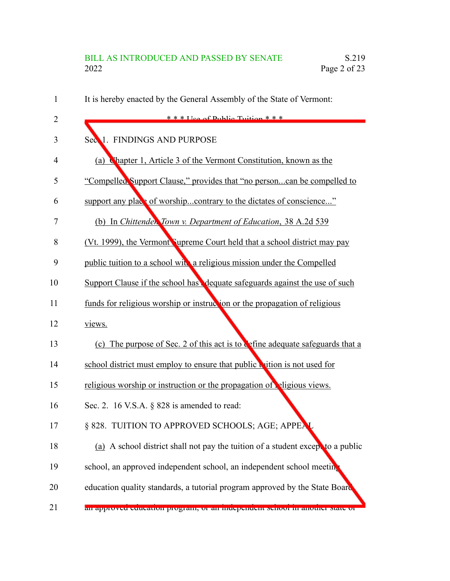| 1              | It is hereby enacted by the General Assembly of the State of Vermont:           |
|----------------|---------------------------------------------------------------------------------|
| $\overline{2}$ | $* * * \text{Heo of Dublin Tuition} * * *$                                      |
| 3              | Sec 1. FINDINGS AND PURPOSE                                                     |
| $\overline{4}$ | Chapter 1, Article 3 of the Vermont Constitution, known as the<br>(a)           |
| 5              | "Compelled Support Clause," provides that "no personcan be compelled to         |
| 6              | support any place of worshipcontrary to the dictates of conscience"             |
| 7              | (b) In Chittender, Town v. Department of Education, 38 A.2d 539                 |
| 8              | (Vt. 1999), the Vermont Supreme Court held that a school district may pay       |
| 9              | public tuition to a school with a religious mission under the Compelled         |
| 10             | Support Clause if the school has dequate safeguards against the use of such     |
| 11             | funds for religious worship or instruction or the propagation of religious      |
| 12             | views.                                                                          |
| 13             | (c) The purpose of Sec. 2 of this act is to cefine adequate safeguards that a   |
| 14             | school district must employ to ensure that public wition is not used for        |
| 15             | religious worship or instruction or the propagation of eligious views.          |
| 16             | Sec. 2. 16 V.S.A. $\S$ 828 is amended to read:                                  |
| 17             | § 828. TUITION TO APPROVED SCHOOLS; AGE; APPEA                                  |
| 18             | (a) A school district shall not pay the tuition of a student except to a public |
| 19             | school, an approved independent school, an independent school meeting           |
| 20             | education quality standards, a tutorial program approved by the State Board     |
| 21             | ан арргоуса саасанон ргодган, ог ан шаеренасиг хеноог ш аношег мате ог          |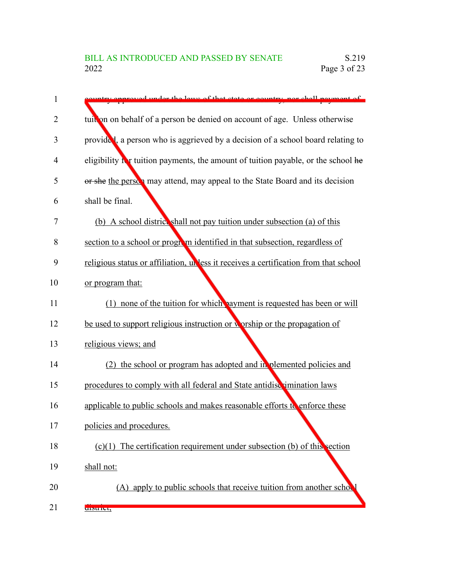| 1              | ntry annrayed under the laws of that state or country nor shall nayment of           |
|----------------|--------------------------------------------------------------------------------------|
| $\overline{2}$ | tuit on on behalf of a person be denied on account of age. Unless otherwise          |
| 3              | provided, a person who is aggrieved by a decision of a school board relating to      |
| 4              | eligibility in tuition payments, the amount of tuition payable, or the school he     |
| 5              | or she the person may attend, may appeal to the State Board and its decision         |
| 6              | shall be final.                                                                      |
| 7              | (b) A school district shall not pay tuition under subsection (a) of this             |
| 8              | section to a school or program identified in that subsection, regardless of          |
| 9              | religious status or affiliation, unless it receives a certification from that school |
| 10             | or program that:                                                                     |
| 11             | (1) none of the tuition for which payment is requested has been or will              |
| 12             | be used to support religious instruction or worship or the propagation of            |
| 13             | religious views; and                                                                 |
| 14             | (2) the school or program has adopted and in plemented policies and                  |
| 15             | procedures to comply with all federal and State antidiscrimination laws              |
| 16             | applicable to public schools and makes reasonable efforts to enforce these           |
| 17             | policies and procedures.                                                             |
| 18             | $(c)(1)$ The certification requirement under subsection (b) of this section          |
| 19             | shall not:                                                                           |
| 20             | (A) apply to public schools that receive tuition from another school                 |
| 21             | uistrict,                                                                            |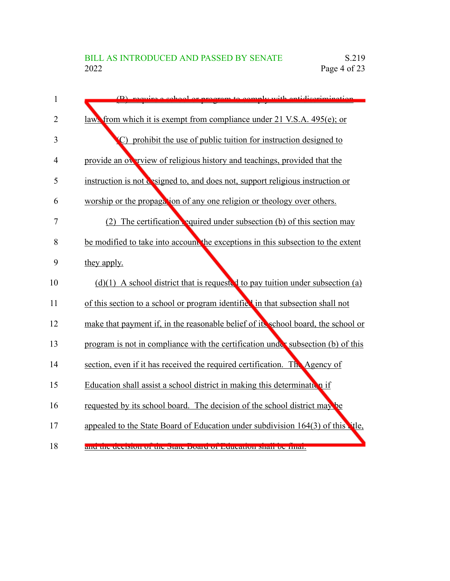| 1              | (B) require a school or program to comply with optidicarimination                 |
|----------------|-----------------------------------------------------------------------------------|
| $\overline{2}$ | laws from which it is exempt from compliance under 21 V.S.A. 495(e); or           |
| 3              | (C) prohibit the use of public tuition for instruction designed to                |
| $\overline{4}$ | provide an overview of religious history and teachings, provided that the         |
| 5              | instruction is not designed to, and does not, support religious instruction or    |
| 6              | worship or the propagation of any one religion or theology over others.           |
| 7              | (2) The certification equired under subsection (b) of this section may            |
| 8              | be modified to take into account the exceptions in this subsection to the extent  |
| 9              | they apply.                                                                       |
| 10             | $(d)(1)$ A school district that is requested to pay tuition under subsection (a)  |
| 11             | of this section to a school or program identified in that subsection shall not    |
| 12             | make that payment if, in the reasonable belief of its school board, the school or |
| 13             | program is not in compliance with the certification under subsection (b) of this  |
| 14             | section, even if it has received the required certification. The Agency of        |
| 15             | Education shall assist a school district in making this determination if          |
| 16             | requested by its school board. The decision of the school district may be         |
| 17             | appealed to the State Board of Education under subdivision 164(3) of this the,    |
| 18             | and the decision of the state board of Education shall be milar.                  |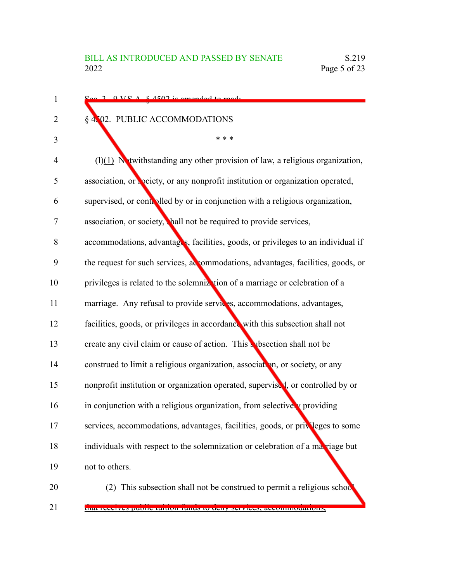| 2 OVCA 84502 is amonded to read.                                                 |
|----------------------------------------------------------------------------------|
| <b>NO2. PUBLIC ACCOMMODATIONS</b><br>$\S$ .                                      |
| * * *                                                                            |
| $(1)(1)$ Nutwithstanding any other provision of law, a religious organization,   |
| association, or peciety, or any nonprofit institution or organization operated,  |
| supervised, or controlled by or in conjunction with a religious organization,    |
| association, or society, hall not be required to provide services,               |
| accommodations, advantages, facilities, goods, or privileges to an individual if |
| the request for such services, accommodations, advantages, facilities, goods, or |
| privileges is related to the solemnization of a marriage or celebration of a     |
| marriage. Any refusal to provide services, accommodations, advantages,           |
| facilities, goods, or privileges in accordance with this subsection shall not    |
| create any civil claim or cause of action. This subsection shall not be          |
| construed to limit a religious organization, association, or society, or any     |
| nonprofit institution or organization operated, supervised, or controlled by or  |
| in conjunction with a religious organization, from selectivery providing         |
| services, accommodations, advantages, facilities, goods, or privileges to some   |
| individuals with respect to the solemnization or celebration of a maxiage but    |
| not to others.                                                                   |
| This subsection shall not be construed to permit a religious school<br>(2)       |
| that receives public tunton funds to deny services, accommodations,              |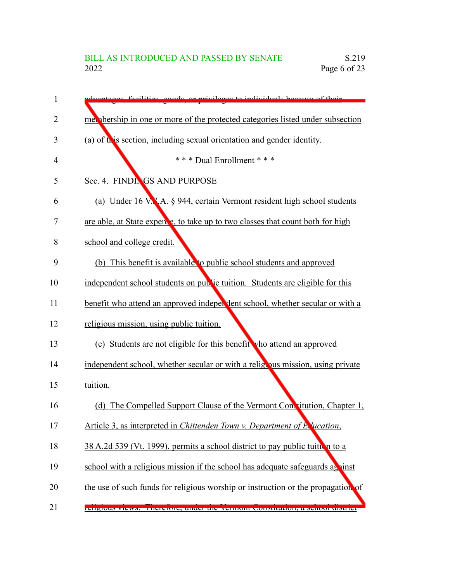| 1  | vantages, facilities, goods, or privileges to individuals because of their       |
|----|----------------------------------------------------------------------------------|
| 2  | mer absorbing in one or more of the protected categories listed under subsection |
| 3  | (a) of this section, including sexual orientation and gender identity.           |
| 4  | *** Dual Enrollment ***                                                          |
| 5  | Sec. 4. FINDINGS AND PURPOSE                                                     |
| 6  | (a) Under 16 V.N.A. § 944, certain Vermont resident high school students         |
| 7  | are able, at State expense, to take up to two classes that count both for high   |
| 8  | school and college credit.                                                       |
| 9  | (b) This benefit is available to public school students and approved             |
| 10 | independent school students on public tuition. Students are eligible for this    |
| 11 | benefit who attend an approved independent school, whether secular or with a     |
| 12 | religious mission, using public tuition.                                         |
| 13 | (c) Students are not eligible for this benefit vho attend an approved            |
| 14 | independent school, whether secular or with a religibus mission, using private   |
| 15 | tuition.                                                                         |
| 16 | (d) The Compelled Support Clause of the Vermont Constitution, Chapter 1,         |
| 17 | Article 3, as interpreted in Chittenden Town v. Department of Execution,         |
| 18 | 38 A.2d 539 (Vt. 1999), permits a school district to pay public tuition to a     |
| 19 | school with a religious mission if the school has adequate safeguards against    |
| 20 | the use of such funds for religious worship or instruction or the propagation of |
| 21 | rengious views. Therefore, under the vermoin constitution, a senoor uistrict     |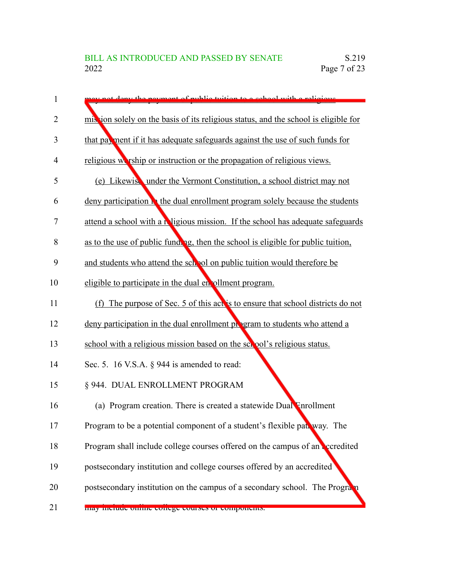| 1              | ay not dony the payment of public tuition to a school with a religious                |
|----------------|---------------------------------------------------------------------------------------|
| $\overline{2}$ | mis ion solely on the basis of its religious status, and the school is eligible for   |
| 3              | that payment if it has adequate safeguards against the use of such funds for          |
| 4              | religious we rest or instruction or the propagation of religious views.               |
| 5              | (e) Likewise under the Vermont Constitution, a school district may not                |
| 6              | deny participation <b>h</b> the dual enrollment program solely because the students   |
| 7              | attend a school with a <b>N</b> igious mission. If the school has adequate safeguards |
| 8              | as to the use of public funding, then the school is eligible for public tuition,      |
| 9              | and students who attend the school on public tuition would therefore be               |
| 10             | eligible to participate in the dual en ollment program.                               |
| 11             | (f) The purpose of Sec. 5 of this act is to ensure that school districts do not       |
| 12             | deny participation in the dual enrollment program to students who attend a            |
| 13             | school with a religious mission based on the school's religious status.               |
| 14             | Sec. 5. 16 V.S.A. $\S$ 944 is amended to read:                                        |
| 15             | § 944. DUAL ENROLLMENT PROGRAM                                                        |
| 16             | (a) Program creation. There is created a statewide Dual Inrollment                    |
| 17             | Program to be a potential component of a student's flexible pat. way. The             |
| 18             | Program shall include college courses offered on the campus of an accredited          |
| 19             | postsecondary institution and college courses offered by an accredited                |
| 20             | postsecondary institution on the campus of a secondary school. The Program            |
| 21             | may merude omme conege courses or components.                                         |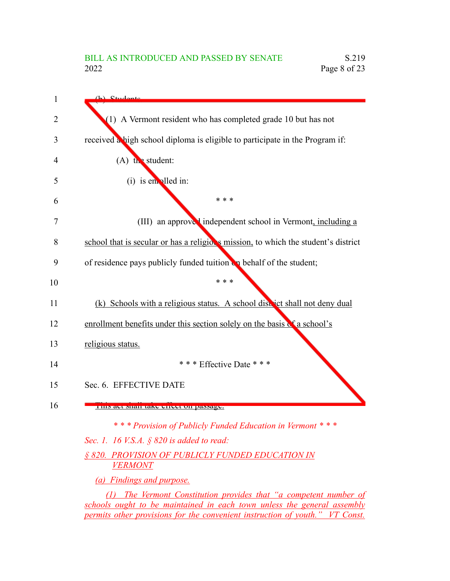$(h)$  Ctudent (1) A Vermont resident who has completed grade 10 but has not received a high school diploma is eligible to participate in the Program if:  $(A)$  the student:  $(i)$  is enrolled in: \* \* \* (III) an approved independent school in Vermont, including a school that is secular or has a religious mission, to which the student's district of residence pays publicly funded tuition  $\mathbf{u}_n$  behalf of the student; \* \* \* (k) Schools with a religious status. A school district shall not deny dual enrollment benefits under this section solely on the basis of a school's religious status. \* \* \* Effective Date \* \* \* Sec. 6. EFFECTIVE DATE This act shall take effect on passage. *\* \* \* Provision of Publicly Funded Education in Vermont \* \* \* Sec. 1. 16 V.S.A. § 820 is added to read: § 820. PROVISION OF PUBLICLY FUNDED EDUCATION IN VERMONT (a) Findings and purpose. (1) The Vermont Constitution provides that "a competent number of schools ought to be maintained in each town unless the general assembly* 1 2 3 4 5 6 7 8 9 10 11 12 13 14 15 16

*permits other provisions for the convenient instruction of youth." VT Const.*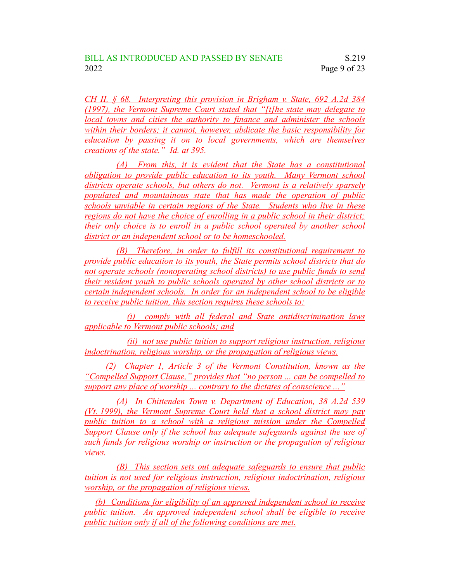*CH II, § 68. Interpreting this provision in Brigham v. State, 692 A.2d 384 (1997), the Vermont Supreme Court stated that "[t]he state may delegate to local towns and cities the authority to finance and administer the schools within their borders; it cannot, however, abdicate the basic responsibility for education by passing it on to local governments, which are themselves creations of the state." Id. at 395.*

*(A) From this, it is evident that the State has a constitutional obligation to provide public education to its youth. Many Vermont school districts operate schools, but others do not. Vermont is a relatively sparsely populated and mountainous state that has made the operation of public schools unviable in certain regions of the State. Students who live in these regions do not have the choice of enrolling in a public school in their district; their only choice is to enroll in a public school operated by another school district or an independent school or to be homeschooled.*

*(B) Therefore, in order to fulfill its constitutional requirement to provide public education to its youth, the State permits school districts that do not operate schools (nonoperating school districts) to use public funds to send their resident youth to public schools operated by other school districts or to certain independent schools. In order for an independent school to be eligible to receive public tuition, this section requires these schools to:*

*(i) comply with all federal and State antidiscrimination laws applicable to Vermont public schools; and*

*(ii) not use public tuition to support religious instruction, religious indoctrination, religious worship, or the propagation of religious views.*

*(2) Chapter 1, Article 3 of the Vermont Constitution, known as the "Compelled Support Clause," provides that "no person ... can be compelled to support any place of worship ... contrary to the dictates of conscience ..."*

*(A) In Chittenden Town v. Department of Education, 38 A.2d 539 (Vt. 1999), the Vermont Supreme Court held that a school district may pay public tuition to a school with a religious mission under the Compelled Support Clause only if the school has adequate safeguards against the use of such funds for religious worship or instruction or the propagation of religious views.*

*(B) This section sets out adequate safeguards to ensure that public tuition is not used for religious instruction, religious indoctrination, religious worship, or the propagation of religious views.*

*(b) Conditions for eligibility of an approved independent school to receive public tuition. An approved independent school shall be eligible to receive public tuition only if all of the following conditions are met.*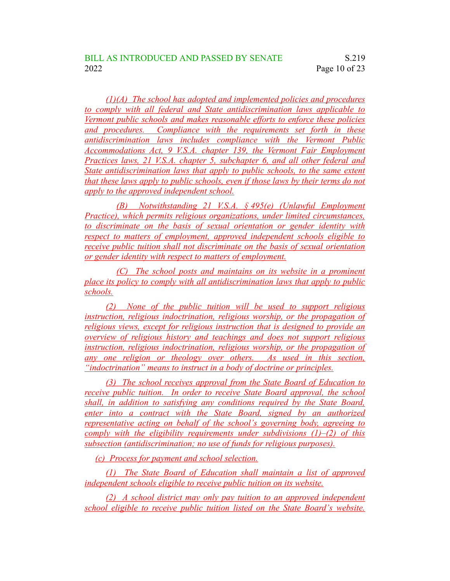*(1)(A) The school has adopted and implemented policies and procedures to comply with all federal and State antidiscrimination laws applicable to Vermont public schools and makes reasonable efforts to enforce these policies and procedures. Compliance with the requirements set forth in these antidiscrimination laws includes compliance with the Vermont Public Accommodations Act, 9 V.S.A. chapter 139, the Vermont Fair Employment Practices laws, 21 V.S.A. chapter 5, subchapter 6, and all other federal and State antidiscrimination laws that apply to public schools, to the same extent that these laws apply to public schools, even if those laws by their terms do not apply to the approved independent school.*

*(B) Notwithstanding 21 V.S.A. § 495(e) (Unlawful Employment Practice), which permits religious organizations, under limited circumstances, to discriminate on the basis of sexual orientation or gender identity with respect to matters of employment, approved independent schools eligible to receive public tuition shall not discriminate on the basis of sexual orientation or gender identity with respect to matters of employment.*

*(C) The school posts and maintains on its website in a prominent place its policy to comply with all antidiscrimination laws that apply to public schools.*

*(2) None of the public tuition will be used to support religious instruction, religious indoctrination, religious worship, or the propagation of religious views, except for religious instruction that is designed to provide an overview of religious history and teachings and does not support religious instruction, religious indoctrination, religious worship, or the propagation of any one religion or theology over others. As used in this section, "indoctrination" means to instruct in a body of doctrine or principles.*

*(3) The school receives approval from the State Board of Education to receive public tuition. In order to receive State Board approval, the school shall, in addition to satisfying any conditions required by the State Board, enter into a contract with the State Board, signed by an authorized representative acting on behalf of the school's governing body, agreeing to comply with the eligibility requirements under subdivisions (1)–(2) of this subsection (antidiscrimination; no use of funds for religious purposes).*

*(c) Process for payment and school selection.*

*(1) The State Board of Education shall maintain a list of approved independent schools eligible to receive public tuition on its website.*

*(2) A school district may only pay tuition to an approved independent school eligible to receive public tuition listed on the State Board's website.*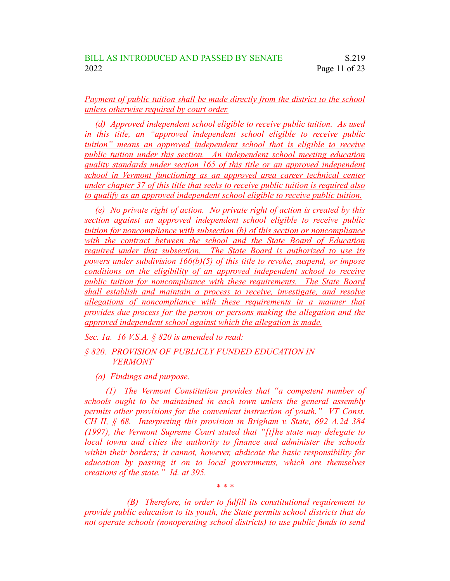*Payment of public tuition shall be made directly from the district to the school unless otherwise required by court order.*

*(d) Approved independent school eligible to receive public tuition. As used in this title, an "approved independent school eligible to receive public tuition" means an approved independent school that is eligible to receive public tuition under this section. An independent school meeting education quality standards under section 165 of this title or an approved independent school in Vermont functioning as an approved area career technical center under chapter 37 of this title that seeks to receive public tuition is required also to qualify as an approved independent school eligible to receive public tuition.*

*(e) No private right of action. No private right of action is created by this section against an approved independent school eligible to receive public tuition for noncompliance with subsection (b) of this section or noncompliance with the contract between the school and the State Board of Education required under that subsection. The State Board is authorized to use its powers under subdivision 166(b)(5) of this title to revoke, suspend, or impose conditions on the eligibility of an approved independent school to receive public tuition for noncompliance with these requirements. The State Board shall establish and maintain a process to receive, investigate, and resolve allegations of noncompliance with these requirements in a manner that provides due process for the person or persons making the allegation and the approved independent school against which the allegation is made.*

*Sec. 1a. 16 V.S.A. § 820 is amended to read:*

### *§ 820. PROVISION OF PUBLICLY FUNDED EDUCATION IN VERMONT*

*(a) Findings and purpose.*

*(1) The Vermont Constitution provides that "a competent number of schools ought to be maintained in each town unless the general assembly permits other provisions for the convenient instruction of youth." VT Const. CH II, § 68. Interpreting this provision in Brigham v. State, 692 A.2d 384 (1997), the Vermont Supreme Court stated that "[t]he state may delegate to local towns and cities the authority to finance and administer the schools within their borders; it cannot, however, abdicate the basic responsibility for education by passing it on to local governments, which are themselves creations of the state." Id. at 395.*

*(B) Therefore, in order to fulfill its constitutional requirement to provide public education to its youth, the State permits school districts that do not operate schools (nonoperating school districts) to use public funds to send*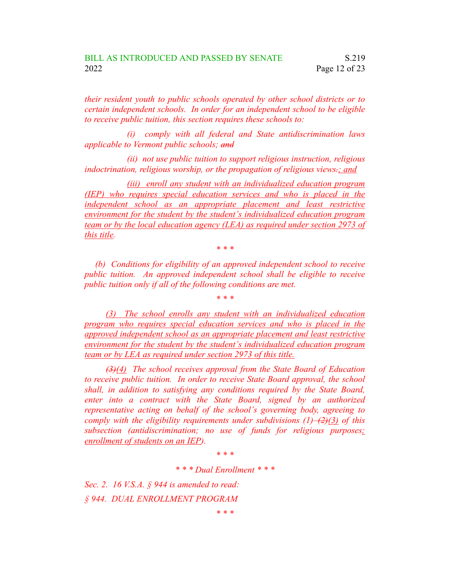*their resident youth to public schools operated by other school districts or to certain independent schools. In order for an independent school to be eligible to receive public tuition, this section requires these schools to:*

*(i) comply with all federal and State antidiscrimination laws applicable to Vermont public schools; and*

*(ii) not use public tuition to support religious instruction, religious indoctrination, religious worship, or the propagation of religious views.; and*

*(iii) enroll any student with an individualized education program (IEP) who requires special education services and who is placed in the independent school as an appropriate placement and least restrictive environment for the student by the student's individualized education program team or by the local education agency (LEA) as required under section 2973 of this title.*

*\* \* \**

*(b) Conditions for eligibility of an approved independent school to receive public tuition. An approved independent school shall be eligible to receive public tuition only if all of the following conditions are met.*

*\* \* \**

*(3) The school enrolls any student with an individualized education program who requires special education services and who is placed in the approved independent school as an appropriate placement and least restrictive environment for the student by the student's individualized education program team or by LEA as required under section 2973 of this title.*

*(3)(4) The school receives approval from the State Board of Education to receive public tuition. In order to receive State Board approval, the school shall, in addition to satisfying any conditions required by the State Board, enter into a contract with the State Board, signed by an authorized representative acting on behalf of the school's governing body, agreeing to comply with the eligibility requirements under subdivisions (1)–(2)(3) of this subsection (antidiscrimination; no use of funds for religious purposes; enrollment of students on an IEP).*

*\* \* \**

*\* \* \* Dual Enrollment \* \* \**

*Sec. 2. 16 V.S.A. § 944 is amended to read: § 944. DUAL ENROLLMENT PROGRAM*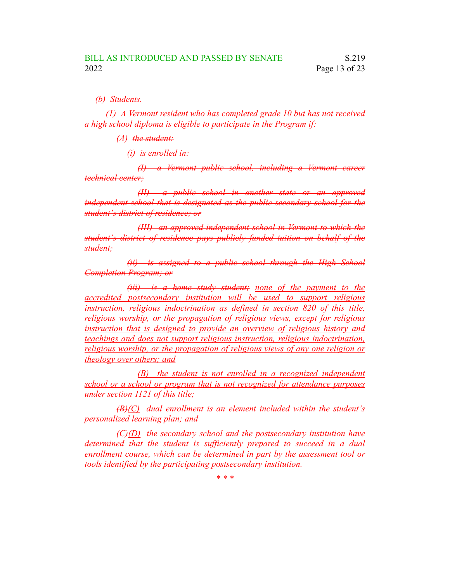*(b) Students.*

*(1) A Vermont resident who has completed grade 10 but has not received a high school diploma is eligible to participate in the Program if:*

*(A) the student:*

*(i) is enrolled in:*

*(I) a Vermont public school, including a Vermont career technical center;*

*(II) a public school in another state or an approved independent school that is designated as the public secondary school for the student's district of residence; or*

*(III) an approved independent school in Vermont to which the student's district of residence pays publicly funded tuition on behalf of the student;*

*(ii) is assigned to a public school through the High School Completion Program; or*

*(iii) is a home study student; none of the payment to the accredited postsecondary institution will be used to support religious instruction, religious indoctrination as defined in section 820 of this title, religious worship, or the propagation of religious views, except for religious instruction that is designed to provide an overview of religious history and teachings and does not support religious instruction, religious indoctrination, religious worship, or the propagation of religious views of any one religion or theology over others; and*

*(B) the student is not enrolled in a recognized independent school or a school or program that is not recognized for attendance purposes under section 1121 of this title;*

*(B)(C) dual enrollment is an element included within the student's personalized learning plan; and*

*(C)(D) the secondary school and the postsecondary institution have determined that the student is sufficiently prepared to succeed in a dual enrollment course, which can be determined in part by the assessment tool or tools identified by the participating postsecondary institution.*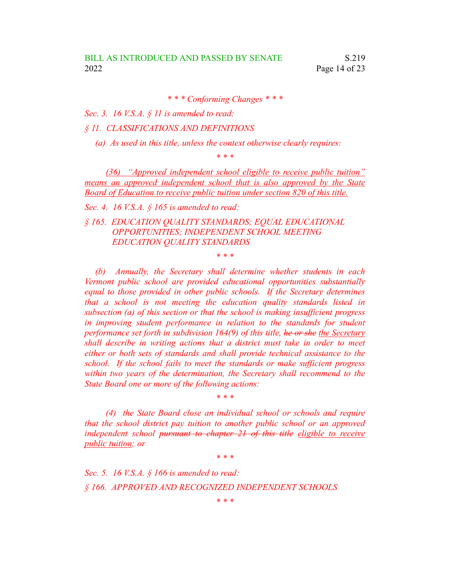*\* \* \* Conforming Changes \* \* \**

*Sec. 3. 16 V.S.A. § 11 is amended to read:*

*§ 11. CLASSIFICATIONS AND DEFINITIONS*

*(a) As used in this title, unless the context otherwise clearly requires:*

*\* \* \**

*(36) "Approved independent school eligible to receive public tuition" means an approved independent school that is also approved by the State Board of Education to receive public tuition under section 820 of this title.*

*Sec. 4. 16 V.S.A. § 165 is amended to read:*

*§ 165. EDUCATION QUALITY STANDARDS; EQUAL EDUCATIONAL OPPORTUNITIES; INDEPENDENT SCHOOL MEETING EDUCATION QUALITY STANDARDS*

*\* \* \**

*(b) Annually, the Secretary shall determine whether students in each Vermont public school are provided educational opportunities substantially equal to those provided in other public schools. If the Secretary determines that a school is not meeting the education quality standards listed in subsection (a) of this section or that the school is making insufficient progress in improving student performance in relation to the standards for student performance set forth in subdivision 164(9) of this title, he or she the Secretary shall describe in writing actions that a district must take in order to meet either or both sets of standards and shall provide technical assistance to the school. If the school fails to meet the standards or make sufficient progress within two years of the determination, the Secretary shall recommend to the State Board one or more of the following actions:*

*(4) the State Board close an individual school or schools and require that the school district pay tuition to another public school or an approved independent school pursuant to chapter 21 of this title eligible to receive public tuition; or*

*\* \* \**

*\* \* \**

*Sec. 5. 16 V.S.A. § 166 is amended to read: § 166. APPROVED AND RECOGNIZED INDEPENDENT SCHOOLS*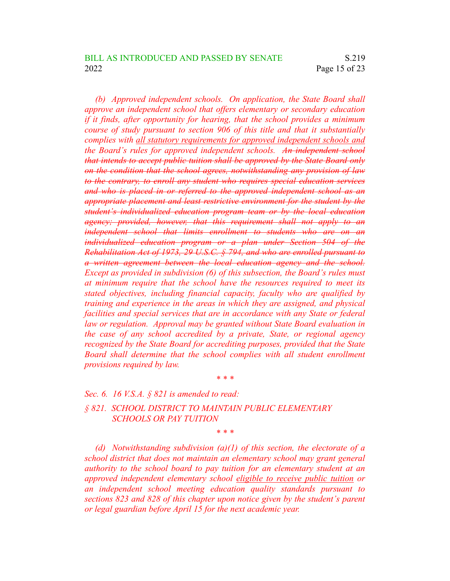*(b) Approved independent schools. On application, the State Board shall approve an independent school that offers elementary or secondary education if it finds, after opportunity for hearing, that the school provides a minimum course of study pursuant to section 906 of this title and that it substantially complies with all statutory requirements for approved independent schools and the Board's rules for approved independent schools. An independent school that intends to accept public tuition shall be approved by the State Board only on the condition that the school agrees, notwithstanding any provision of law to the contrary, to enroll any student who requires special education services and who is placed in or referred to the approved independent school as an appropriate placement and least restrictive environment for the student by the student's individualized education program team or by the local education agency; provided, however, that this requirement shall not apply to an independent school that limits enrollment to students who are on an individualized education program or a plan under Section 504 of the Rehabilitation Act of 1973, 29 U.S.C. § 794, and who are enrolled pursuant to a written agreement between the local education agency and the school. Except as provided in subdivision (6) of this subsection, the Board's rules must at minimum require that the school have the resources required to meet its stated objectives, including financial capacity, faculty who are qualified by training and experience in the areas in which they are assigned, and physical facilities and special services that are in accordance with any State or federal law or regulation. Approval may be granted without State Board evaluation in the case of any school accredited by a private, State, or regional agency recognized by the State Board for accrediting purposes, provided that the State Board shall determine that the school complies with all student enrollment provisions required by law.*

### *Sec. 6. 16 V.S.A. § 821 is amended to read:*

*§ 821. SCHOOL DISTRICT TO MAINTAIN PUBLIC ELEMENTARY SCHOOLS OR PAY TUITION*

*\* \* \**

*\* \* \**

*(d) Notwithstanding subdivision (a)(1) of this section, the electorate of a school district that does not maintain an elementary school may grant general authority to the school board to pay tuition for an elementary student at an approved independent elementary school eligible to receive public tuition or an independent school meeting education quality standards pursuant to sections 823 and 828 of this chapter upon notice given by the student's parent or legal guardian before April 15 for the next academic year.*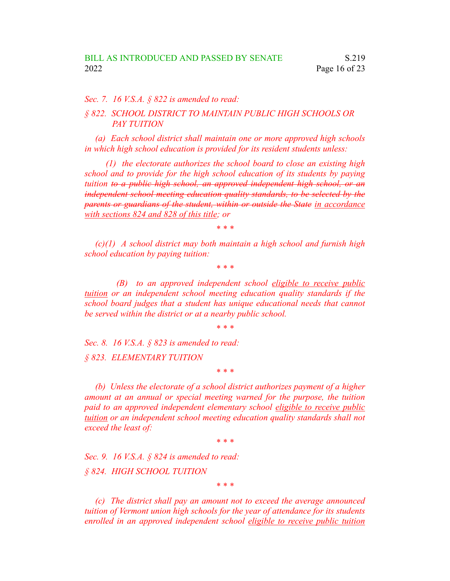#### *Sec. 7. 16 V.S.A. § 822 is amended to read:*

## *§ 822. SCHOOL DISTRICT TO MAINTAIN PUBLIC HIGH SCHOOLS OR PAY TUITION*

*(a) Each school district shall maintain one or more approved high schools in which high school education is provided for its resident students unless:*

*(1) the electorate authorizes the school board to close an existing high school and to provide for the high school education of its students by paying tuition to a public high school, an approved independent high school, or an independent school meeting education quality standards, to be selected by the parents or guardians of the student, within or outside the State in accordance with sections 824 and 828 of this title; or*

*\* \* \**

*(c)(1) A school district may both maintain a high school and furnish high school education by paying tuition:*

*\* \* \**

*(B) to an approved independent school eligible to receive public tuition or an independent school meeting education quality standards if the school board judges that a student has unique educational needs that cannot be served within the district or at a nearby public school.*

*\* \* \**

*Sec. 8. 16 V.S.A. § 823 is amended to read:*

*§ 823. ELEMENTARY TUITION*

*\* \* \**

*(b) Unless the electorate of a school district authorizes payment of a higher amount at an annual or special meeting warned for the purpose, the tuition paid to an approved independent elementary school eligible to receive public tuition or an independent school meeting education quality standards shall not exceed the least of:*

*\* \* \**

*Sec. 9. 16 V.S.A. § 824 is amended to read: § 824. HIGH SCHOOL TUITION*

*\* \* \**

*(c) The district shall pay an amount not to exceed the average announced tuition of Vermont union high schools for the year of attendance for its students enrolled in an approved independent school eligible to receive public tuition*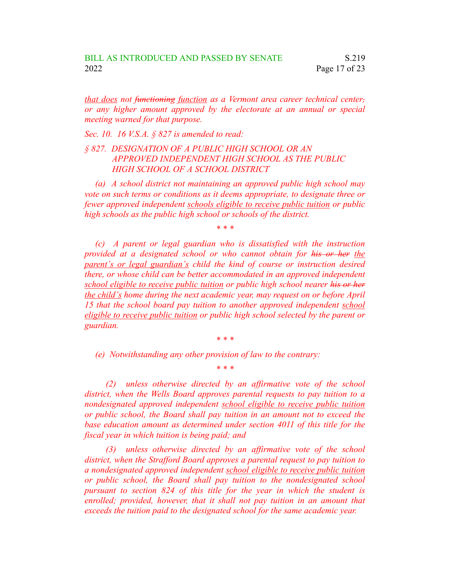*that does not functioning function as a Vermont area career technical center, or any higher amount approved by the electorate at an annual or special meeting warned for that purpose.*

*Sec. 10. 16 V.S.A. § 827 is amended to read:*

## *§ 827. DESIGNATION OF A PUBLIC HIGH SCHOOL OR AN APPROVED INDEPENDENT HIGH SCHOOL AS THE PUBLIC HIGH SCHOOL OF A SCHOOL DISTRICT*

*(a) A school district not maintaining an approved public high school may vote on such terms or conditions as it deems appropriate, to designate three or fewer approved independent schools eligible to receive public tuition or public high schools as the public high school or schools of the district.*

*\* \* \**

*(c) A parent or legal guardian who is dissatisfied with the instruction provided at a designated school or who cannot obtain for his or her the parent's or legal guardian's child the kind of course or instruction desired there, or whose child can be better accommodated in an approved independent school eligible to receive public tuition or public high school nearer his or her the child's home during the next academic year, may request on or before April 15 that the school board pay tuition to another approved independent school eligible to receive public tuition or public high school selected by the parent or guardian.*

*\* \* \**

*\* \* \**

*(e) Notwithstanding any other provision of law to the contrary:*

*(2) unless otherwise directed by an affirmative vote of the school district, when the Wells Board approves parental requests to pay tuition to a nondesignated approved independent school eligible to receive public tuition or public school, the Board shall pay tuition in an amount not to exceed the base education amount as determined under section 4011 of this title for the fiscal year in which tuition is being paid; and*

*(3) unless otherwise directed by an affirmative vote of the school district, when the Strafford Board approves a parental request to pay tuition to a nondesignated approved independent school eligible to receive public tuition or public school, the Board shall pay tuition to the nondesignated school pursuant to section 824 of this title for the year in which the student is enrolled; provided, however, that it shall not pay tuition in an amount that exceeds the tuition paid to the designated school for the same academic year.*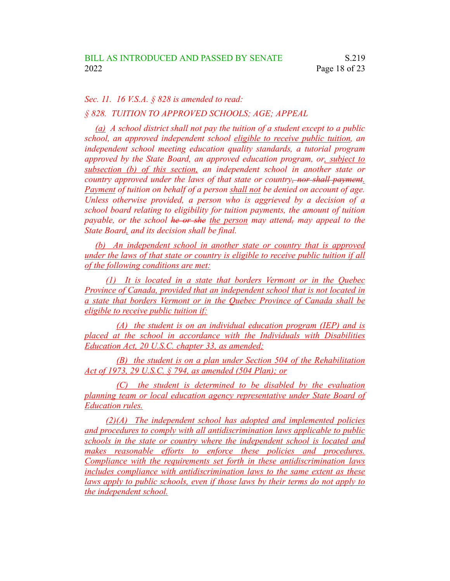#### *Sec. 11. 16 V.S.A. § 828 is amended to read:*

### *§ 828. TUITION TO APPROVED SCHOOLS; AGE; APPEAL*

*(a) A school district shall not pay the tuition of a student except to a public school, an approved independent school eligible to receive public tuition, an independent school meeting education quality standards, a tutorial program approved by the State Board, an approved education program, or, subject to subsection (b) of this section, an independent school in another state or country approved under the laws of that state or country, nor shall payment. Payment of tuition on behalf of a person shall not be denied on account of age. Unless otherwise provided, a person who is aggrieved by a decision of a school board relating to eligibility for tuition payments, the amount of tuition payable, or the school he or she the person may attend, may appeal to the State Board, and its decision shall be final.*

*(b) An independent school in another state or country that is approved under the laws of that state or country is eligible to receive public tuition if all of the following conditions are met:*

*(1) It is located in a state that borders Vermont or in the Quebec Province of Canada, provided that an independent school that is not located in a state that borders Vermont or in the Quebec Province of Canada shall be eligible to receive public tuition if:*

*(A) the student is on an individual education program (IEP) and is placed at the school in accordance with the Individuals with Disabilities Education Act, 20 U.S.C. chapter 33, as amended;*

*(B) the student is on a plan under Section 504 of the Rehabilitation Act of 1973, 29 U.S.C. § 794, as amended (504 Plan); or*

*(C) the student is determined to be disabled by the evaluation planning team or local education agency representative under State Board of Education rules.*

*(2)(A) The independent school has adopted and implemented policies and procedures to comply with all antidiscrimination laws applicable to public schools in the state or country where the independent school is located and makes reasonable efforts to enforce these policies and procedures. Compliance with the requirements set forth in these antidiscrimination laws includes compliance with antidiscrimination laws to the same extent as these laws apply to public schools, even if those laws by their terms do not apply to the independent school.*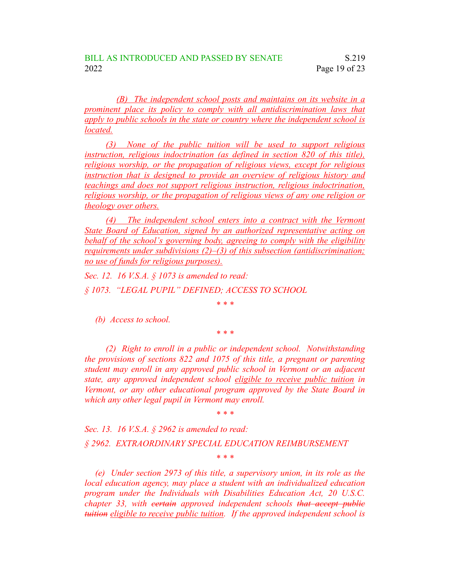*(B) The independent school posts and maintains on its website in a prominent place its policy to comply with all antidiscrimination laws that apply to public schools in the state or country where the independent school is located.*

*(3) None of the public tuition will be used to support religious instruction, religious indoctrination (as defined in section 820 of this title), religious worship, or the propagation of religious views, except for religious instruction that is designed to provide an overview of religious history and teachings and does not support religious instruction, religious indoctrination, religious worship, or the propagation of religious views of any one religion or theology over others.*

*(4) The independent school enters into a contract with the Vermont State Board of Education, signed by an authorized representative acting on behalf of the school's governing body, agreeing to comply with the eligibility requirements under subdivisions (2)–(3) of this subsection (antidiscrimination; no use of funds for religious purposes).*

*Sec. 12. 16 V.S.A. § 1073 is amended to read:*

*§ 1073. "LEGAL PUPIL" DEFINED; ACCESS TO SCHOOL*

*\* \* \**

*(b) Access to school.*

*\* \* \**

*(2) Right to enroll in a public or independent school. Notwithstanding the provisions of sections 822 and 1075 of this title, a pregnant or parenting student may enroll in any approved public school in Vermont or an adjacent state, any approved independent school eligible to receive public tuition in Vermont, or any other educational program approved by the State Board in which any other legal pupil in Vermont may enroll.*

*\* \* \**

*Sec. 13. 16 V.S.A. § 2962 is amended to read:*

*§ 2962. EXTRAORDINARY SPECIAL EDUCATION REIMBURSEMENT*

*\* \* \**

*(e) Under section 2973 of this title, a supervisory union, in its role as the local education agency, may place a student with an individualized education program under the Individuals with Disabilities Education Act, 20 U.S.C. chapter 33, with certain approved independent schools that accept public tuition eligible to receive public tuition. If the approved independent school is*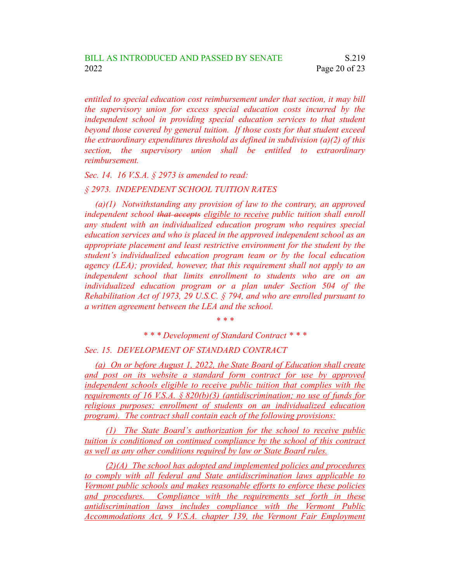*entitled to special education cost reimbursement under that section, it may bill the supervisory union for excess special education costs incurred by the independent school in providing special education services to that student beyond those covered by general tuition. If those costs for that student exceed the extraordinary expenditures threshold as defined in subdivision (a)(2) of this section, the supervisory union shall be entitled to extraordinary reimbursement.*

*Sec. 14. 16 V.S.A. § 2973 is amended to read:*

### *§ 2973. INDEPENDENT SCHOOL TUITION RATES*

*(a)(1) Notwithstanding any provision of law to the contrary, an approved independent school that accepts eligible to receive public tuition shall enroll any student with an individualized education program who requires special education services and who is placed in the approved independent school as an appropriate placement and least restrictive environment for the student by the student's individualized education program team or by the local education agency (LEA); provided, however, that this requirement shall not apply to an independent school that limits enrollment to students who are on an individualized education program or a plan under Section 504 of the Rehabilitation Act of 1973, 29 U.S.C. § 794, and who are enrolled pursuant to a written agreement between the LEA and the school.*

*\* \* \**

*\* \* \* Development of Standard Contract \* \* \**

#### *Sec. 15. DEVELOPMENT OF STANDARD CONTRACT*

*(a) On or before August 1, 2022, the State Board of Education shall create and post on its website a standard form contract for use by approved independent schools eligible to receive public tuition that complies with the requirements of 16 V.S.A. § 820(b)(3) (antidiscrimination; no use of funds for religious purposes; enrollment of students on an individualized education program). The contract shall contain each of the following provisions:*

*(1) The State Board's authorization for the school to receive public tuition is conditioned on continued compliance by the school of this contract as well as any other conditions required by law or State Board rules.*

*(2)(A) The school has adopted and implemented policies and procedures to comply with all federal and State antidiscrimination laws applicable to Vermont public schools and makes reasonable efforts to enforce these policies and procedures. Compliance with the requirements set forth in these antidiscrimination laws includes compliance with the Vermont Public Accommodations Act, 9 V.S.A. chapter 139, the Vermont Fair Employment*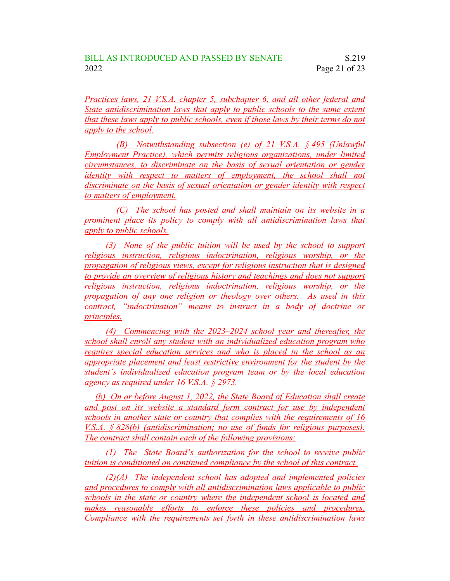*Practices laws, 21 V.S.A. chapter 5, subchapter 6, and all other federal and State antidiscrimination laws that apply to public schools to the same extent that these laws apply to public schools, even if those laws by their terms do not apply to the school.*

*(B) Notwithstanding subsection (e) of 21 V.S.A. § 495 (Unlawful Employment Practice), which permits religious organizations, under limited circumstances, to discriminate on the basis of sexual orientation or gender identity with respect to matters of employment, the school shall not discriminate on the basis of sexual orientation or gender identity with respect to matters of employment.*

*(C) The school has posted and shall maintain on its website in a prominent place its policy to comply with all antidiscrimination laws that apply to public schools.*

*(3) None of the public tuition will be used by the school to support religious instruction, religious indoctrination, religious worship, or the propagation of religious views, except for religious instruction that is designed to provide an overview of religious history and teachings and does not support religious instruction, religious indoctrination, religious worship, or the propagation of any one religion or theology over others. As used in this contract, "indoctrination" means to instruct in a body of doctrine or principles.*

*(4) Commencing with the 2023–2024 school year and thereafter, the school shall enroll any student with an individualized education program who requires special education services and who is placed in the school as an appropriate placement and least restrictive environment for the student by the student's individualized education program team or by the local education agency as required under 16 V.S.A. § 2973.*

*(b) On or before August 1, 2022, the State Board of Education shall create and post on its website a standard form contract for use by independent schools in another state or country that complies with the requirements of 16 V.S.A. § 828(b) (antidiscrimination; no use of funds for religious purposes). The contract shall contain each of the following provisions:*

*(1) The State Board's authorization for the school to receive public tuition is conditioned on continued compliance by the school of this contract.*

*(2)(A) The independent school has adopted and implemented policies and procedures to comply with all antidiscrimination laws applicable to public schools in the state or country where the independent school is located and makes reasonable efforts to enforce these policies and procedures. Compliance with the requirements set forth in these antidiscrimination laws*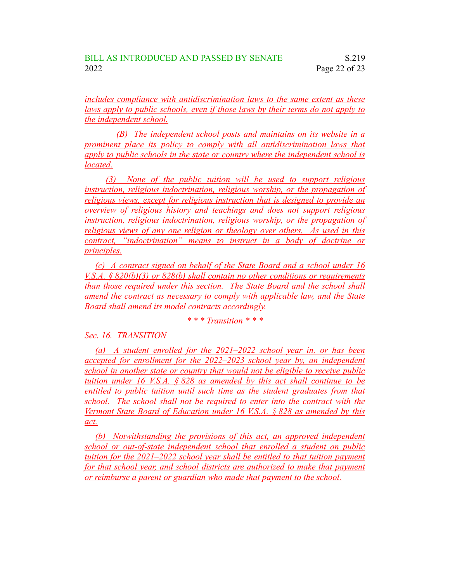*includes compliance with antidiscrimination laws to the same extent as these laws apply to public schools, even if those laws by their terms do not apply to the independent school.*

*(B) The independent school posts and maintains on its website in a prominent place its policy to comply with all antidiscrimination laws that apply to public schools in the state or country where the independent school is located.*

*(3) None of the public tuition will be used to support religious instruction, religious indoctrination, religious worship, or the propagation of religious views, except for religious instruction that is designed to provide an overview of religious history and teachings and does not support religious instruction, religious indoctrination, religious worship, or the propagation of religious views of any one religion or theology over others. As used in this contract, "indoctrination" means to instruct in a body of doctrine or principles.*

*(c) A contract signed on behalf of the State Board and a school under 16 V.S.A. § 820(b)(3) or 828(b) shall contain no other conditions or requirements than those required under this section. The State Board and the school shall amend the contract as necessary to comply with applicable law, and the State Board shall amend its model contracts accordingly.*

## *\* \* \* Transition \* \* \**

*Sec. 16. TRANSITION*

*(a) A student enrolled for the 2021–2022 school year in, or has been accepted for enrollment for the 2022–2023 school year by, an independent school in another state or country that would not be eligible to receive public tuition under 16 V.S.A. § 828 as amended by this act shall continue to be entitled to public tuition until such time as the student graduates from that school. The school shall not be required to enter into the contract with the Vermont State Board of Education under 16 V.S.A. § 828 as amended by this act.*

*(b) Notwithstanding the provisions of this act, an approved independent school or out-of-state independent school that enrolled a student on public tuition for the 2021–2022 school year shall be entitled to that tuition payment for that school year, and school districts are authorized to make that payment or reimburse a parent or guardian who made that payment to the school.*